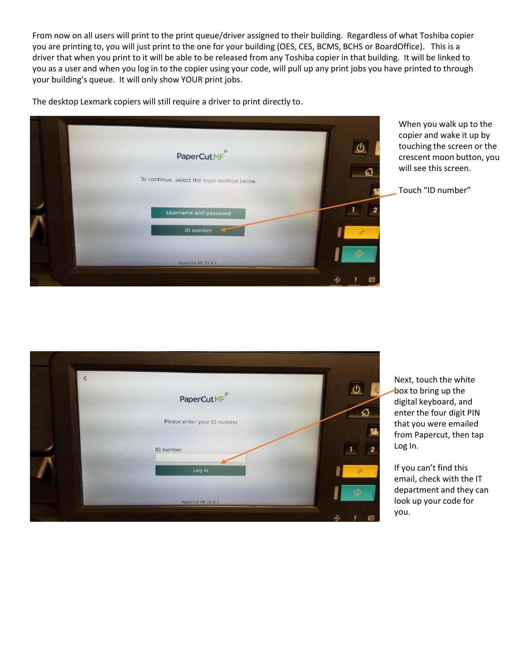From now on all users will print to the print queue/driver assigned to their building. Regardless of what Toshiba copier you are printing to, you will just print to the one for your building (OES, CES, BCMS, BCHS or BoardOffice). This is a driver that when you print to it will be able to be released from any Toshiba copier in that building. It will be linked to you as a user and when you log in to the copier using your code, will pull up any print jobs you have printed to through your building's queue. It will only show YOUR print jobs.

PaperCutMF To continue, select the login method below. PaperCut MF 21.0.1

The desktop Lexmark copiers will still require a driver to print directly to.



Touch "ID number"

| PaperCutMF                  |          |
|-----------------------------|----------|
| Please enter your ID number | 岱<br>tă. |
| ID number<br>Log in         | 2        |
| PaperCut MF 21.0.1          |          |
|                             | œ        |

Next, touch the white  $\rightarrow$ box to bring up the digital keyboard, and enter the four digit PIN that you were emailed from Papercut, then tap Log In.

If you can't find this email, check with the IT department and they can look up your code for you.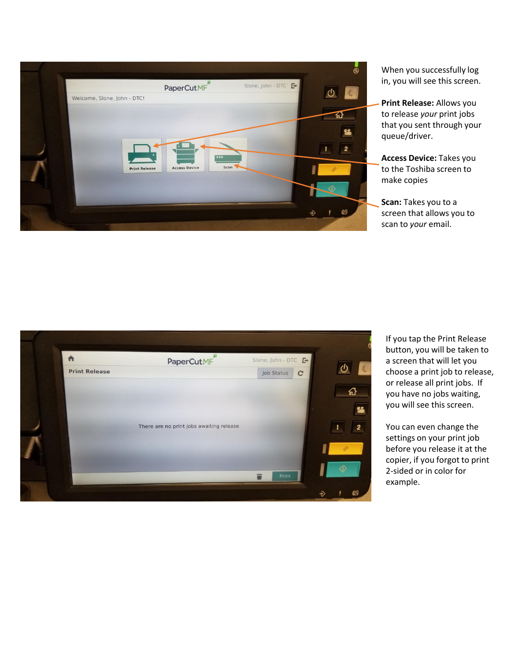

When you successfully log in, you will see this screen.

**Print Release:** Allows you to release *your* print jobs that you sent through your queue/driver.

**Access Device:** Takes you to the Toshiba screen to make copies

**Scan:** Takes you to a screen that allows you to scan to *your* email.



If you tap the Print Release button, you will be taken to a screen that will let you choose a print job to release, or release all print jobs. If you have no jobs waiting, you will see this screen.

You can even change the settings on your print job before you release it at the copier, if you forgot to print 2-sided or in color for example.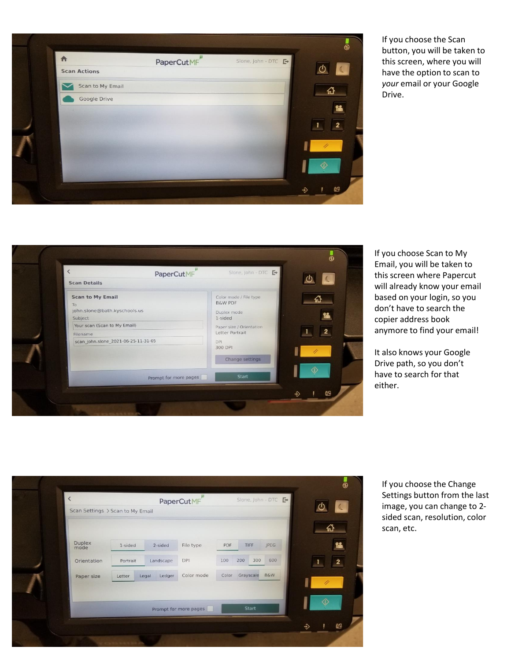

If you choose the Scan button, you will be taken to this screen, where you will have the option to scan to *your* email or your Google Drive.

| <b>Scan Details</b><br><b>Scan to My Email</b><br>Color mode / File type<br><b>B&amp;W PDF</b><br>To<br>john.slone@bath.kyschools.us<br>Duplex mode<br>1-sided<br>Subject<br>Your scan (Scan to My Email)<br>Paper size / Orientation<br>Letter Portrait<br>Filename<br>scan_john.slone_2021-06-25-11-31-05<br><b>DPI</b><br>300 DPI |
|--------------------------------------------------------------------------------------------------------------------------------------------------------------------------------------------------------------------------------------------------------------------------------------------------------------------------------------|
|                                                                                                                                                                                                                                                                                                                                      |
| Change settings                                                                                                                                                                                                                                                                                                                      |
| Start<br>Prompt for more pages                                                                                                                                                                                                                                                                                                       |

If you choose Scan to My Email, you will be taken to this screen where Papercut will already know your email based on your login, so you don't have to search the copier address book anymore to find your email!

It also knows your Google Drive path, so you don't have to search for that either.

| Scan Settings > Scan to My Email |          |                 | PaperCutMF            |       |            |                |   |                         |
|----------------------------------|----------|-----------------|-----------------------|-------|------------|----------------|---|-------------------------|
|                                  |          |                 |                       |       |            |                |   | 끖                       |
| <b>Duplex</b><br>mode            | 1-sided  | 2-sided         | File type             | PDF   | TIFF       | JPEG           |   | 22                      |
| Orientation                      | Portrait | Landscape       | DPI                   | 100   | 200<br>300 | 600            |   | $\overline{\mathbf{2}}$ |
| Paper size                       | Letter   | Ledger<br>Legal | Color mode            | Color | Grayscale  | <b>B&amp;W</b> |   |                         |
|                                  |          |                 |                       |       |            |                |   |                         |
|                                  |          |                 | Prompt for more pages |       | Start      |                |   |                         |
|                                  |          |                 |                       |       |            |                | ⊕ | 69                      |

If you choose the Change Settings button from the last image, you can change to 2 sided scan, resolution, color scan, etc.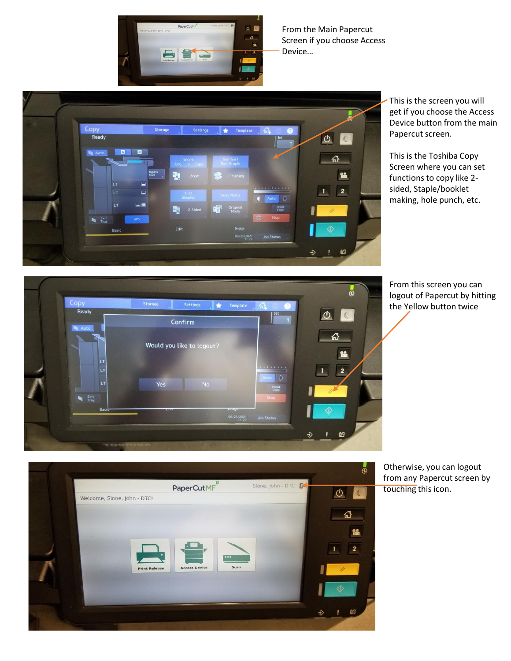

From the Main Papercut Screen if you choose Access Device…



This is the screen you will get if you choose the Access Device button from the main Papercut screen.

This is the Toshiba Copy Screen where you can set functions to copy like 2 sided, Staple/booklet making, hole punch, etc.

From this screen you can logout of Papercut by hitting the Yellow button twice





Otherwise, you can logout from any Papercut screen by touching this icon.